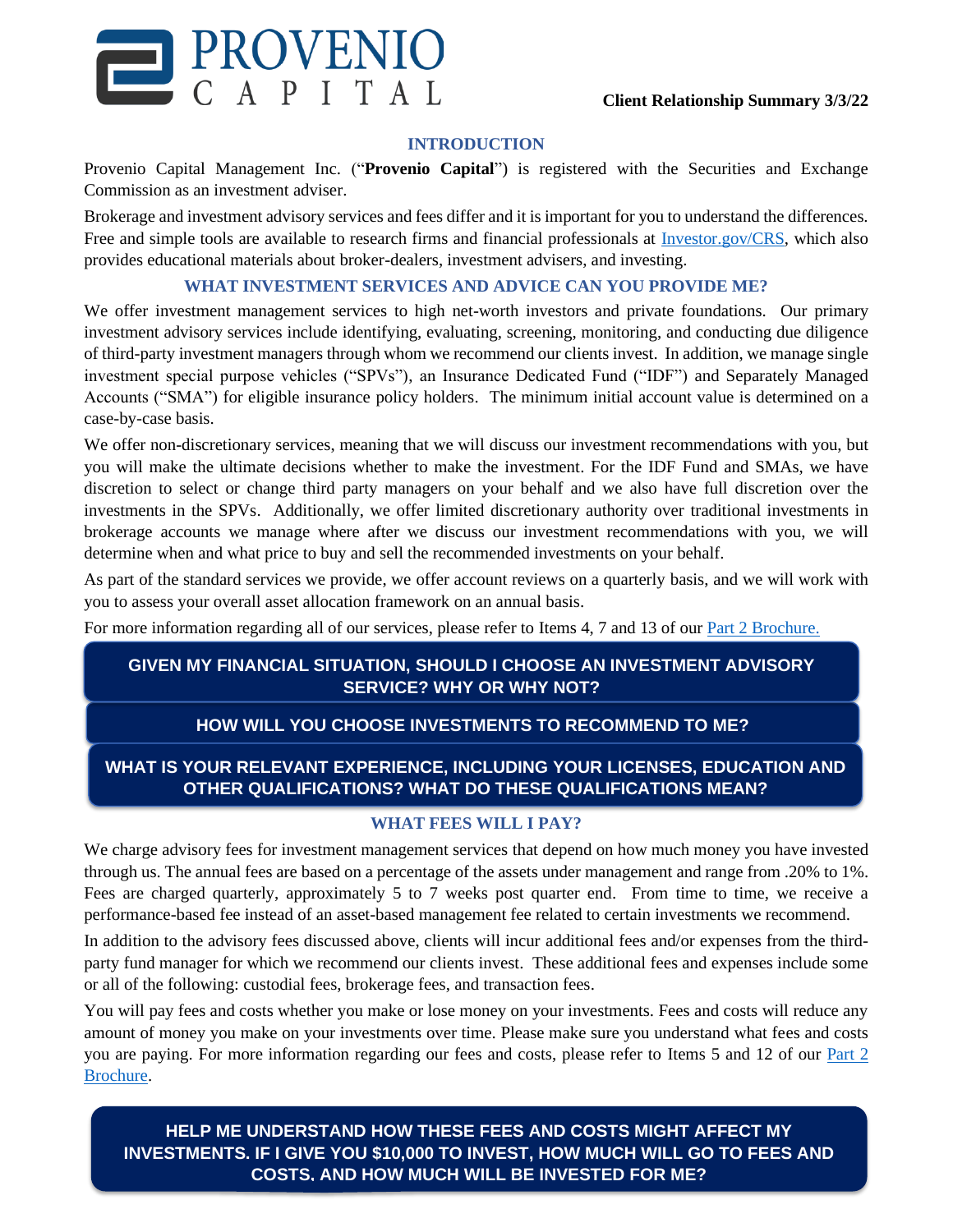

#### **INTRODUCTION**

Provenio Capital Management Inc. ("**Provenio Capital**") is registered with the Securities and Exchange Commission as an investment adviser.

Brokerage and investment advisory services and fees differ and it is important for you to understand the differences. Free and simple tools are available to research firms and financial professionals at [Investor.gov/CRS,](http://www.investor.gov/CRS) which also provides educational materials about broker-dealers, investment advisers, and investing.

#### **WHAT INVESTMENT SERVICES AND ADVICE CAN YOU PROVIDE ME?**

We offer investment management services to high net-worth investors and private foundations. Our primary investment advisory services include identifying, evaluating, screening, monitoring, and conducting due diligence of third-party investment managers through whom we recommend our clients invest. In addition, we manage single investment special purpose vehicles ("SPVs"), an Insurance Dedicated Fund ("IDF") and Separately Managed Accounts ("SMA") for eligible insurance policy holders. The minimum initial account value is determined on a case-by-case basis.

We offer non-discretionary services, meaning that we will discuss our investment recommendations with you, but you will make the ultimate decisions whether to make the investment. For the IDF Fund and SMAs, we have discretion to select or change third party managers on your behalf and we also have full discretion over the investments in the SPVs. Additionally, we offer limited discretionary authority over traditional investments in brokerage accounts we manage where after we discuss our investment recommendations with you, we will determine when and what price to buy and sell the recommended investments on your behalf.

As part of the standard services we provide, we offer account reviews on a quarterly basis, and we will work with you to assess your overall asset allocation framework on an annual basis.

For more information regarding all of our services, please refer to Items 4, 7 and 13 of our [Part 2 Brochure.](https://adviserinfo.sec.gov/firm/brochure/284541)

## **GIVEN MY FINANCIAL SITUATION, SHOULD I CHOOSE AN INVESTMENT ADVISORY SERVICE? WHY OR WHY NOT?**

## **HOW WILL YOU CHOOSE INVESTMENTS TO RECOMMEND TO ME?**

# **WHAT IS YOUR RELEVANT EXPERIENCE, INCLUDING YOUR LICENSES, EDUCATION AND OTHER QUALIFICATIONS? WHAT DO THESE QUALIFICATIONS MEAN?**

## **WHAT FEES WILL I PAY?**

We charge advisory fees for investment management services that depend on how much money you have invested through us. The annual fees are based on a percentage of the assets under management and range from .20% to 1%. Fees are charged quarterly, approximately 5 to 7 weeks post quarter end. From time to time, we receive a performance-based fee instead of an asset-based management fee related to certain investments we recommend.

In addition to the advisory fees discussed above, clients will incur additional fees and/or expenses from the thirdparty fund manager for which we recommend our clients invest. These additional fees and expenses include some or all of the following: custodial fees, brokerage fees, and transaction fees.

You will pay fees and costs whether you make or lose money on your investments. Fees and costs will reduce any amount of money you make on your investments over time. Please make sure you understand what fees and costs you are paying. For more information regarding our fees and costs, please refer to Items 5 and 12 of our [Part 2](https://adviserinfo.sec.gov/firm/brochure/284541) [Brochure.](https://adviserinfo.sec.gov/firm/brochure/284541)

**HELP ME UNDERSTAND HOW THESE FEES AND COSTS MIGHT AFFECT MY INVESTMENTS. IF I GIVE YOU \$10,000 TO INVEST, HOW MUCH WILL GO TO FEES AND COSTS, AND HOW MUCH WILL BE INVESTED FOR ME?**